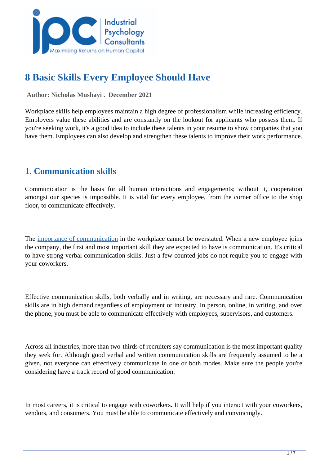

# **8 Basic Skills Every Employee Should Have**

 **Author: Nicholas Mushayi . December 2021** 

Workplace skills help employees maintain a high degree of professionalism while increasing efficiency. Employers value these abilities and are constantly on the lookout for applicants who possess them. If you're seeking work, it's a good idea to include these talents in your resume to show companies that you have them. Employees can also develop and strengthen these talents to improve their work performance.

# **1. Communication skills**

Communication is the basis for all human interactions and engagements; without it, cooperation amongst our species is impossible. It is vital for every employee, from the corner office to the shop floor, to communicate effectively.

The *importance of communication* in the workplace cannot be overstated. When a new employee joins the company, the first and most important skill they are expected to have is communication. It's critical to have strong verbal communication skills. Just a few counted jobs do not require you to engage with your coworkers.

Effective communication skills, both verbally and in writing, are necessary and rare. Communication skills are in high demand regardless of employment or industry. In person, online, in writing, and over the phone, you must be able to communicate effectively with employees, supervisors, and customers.

Across all industries, more than two-thirds of recruiters say communication is the most important quality they seek for. Although good verbal and written communication skills are frequently assumed to be a given, not everyone can effectively communicate in one or both modes. Make sure the people you're considering have a track record of good communication.

In most careers, it is critical to engage with coworkers. It will help if you interact with your coworkers, vendors, and consumers. You must be able to communicate effectively and convincingly.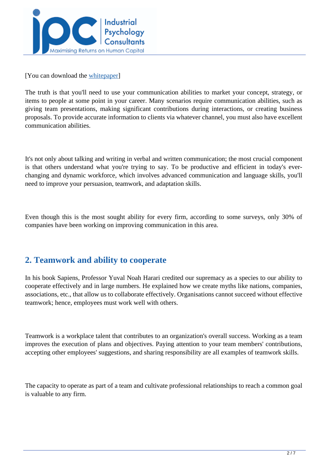

[You can download the [whitepaper\]](../whitepapers/8-basic-skills-every-employee-should-have)

The truth is that you'll need to use your communication abilities to market your concept, strategy, or items to people at some point in your career. Many scenarios require communication abilities, such as giving team presentations, making significant contributions during interactions, or creating business proposals. To provide accurate information to clients via whatever channel, you must also have excellent communication abilities.

It's not only about talking and writing in verbal and written communication; the most crucial component is that others understand what you're trying to say. To be productive and efficient in today's everchanging and dynamic workforce, which involves advanced communication and language skills, you'll need to improve your persuasion, teamwork, and adaptation skills.

Even though this is the most sought ability for every firm, according to some surveys, only 30% of companies have been working on improving communication in this area.

#### **2. Teamwork and ability to cooperate**

In his book Sapiens, Professor Yuval Noah Harari credited our supremacy as a species to our ability to cooperate effectively and in large numbers. He explained how we create myths like nations, companies, associations, etc., that allow us to collaborate effectively. Organisations cannot succeed without effective teamwork; hence, employees must work well with others.

Teamwork is a workplace talent that contributes to an organization's overall success. Working as a team improves the execution of plans and objectives. Paying attention to your team members' contributions, accepting other employees' suggestions, and sharing responsibility are all examples of teamwork skills.

The capacity to operate as part of a team and cultivate professional relationships to reach a common goal is valuable to any firm.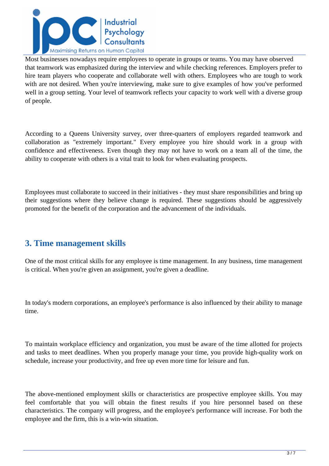

Most businesses nowadays require employees to operate in groups or teams. You may have observed that teamwork was emphasized during the interview and while checking references. Employers prefer to hire team players who cooperate and collaborate well with others. Employees who are tough to work with are not desired. When you're interviewing, make sure to give examples of how you've performed well in a group setting. Your level of teamwork reflects your capacity to work well with a diverse group of people.

According to a Queens University survey, over three-quarters of employers regarded teamwork and collaboration as "extremely important." Every employee you hire should work in a group with confidence and effectiveness. Even though they may not have to work on a team all of the time, the ability to cooperate with others is a vital trait to look for when evaluating prospects.

Employees must collaborate to succeed in their initiatives - they must share responsibilities and bring up their suggestions where they believe change is required. These suggestions should be aggressively promoted for the benefit of the corporation and the advancement of the individuals.

#### **3. Time management skills**

One of the most critical skills for any employee is time management. In any business, time management is critical. When you're given an assignment, you're given a deadline.

In today's modern corporations, an employee's performance is also influenced by their ability to manage time.

To maintain workplace efficiency and organization, you must be aware of the time allotted for projects and tasks to meet deadlines. When you properly manage your time, you provide high-quality work on schedule, increase your productivity, and free up even more time for leisure and fun.

The above-mentioned employment skills or characteristics are prospective employee skills. You may feel comfortable that you will obtain the finest results if you hire personnel based on these characteristics. The company will progress, and the employee's performance will increase. For both the employee and the firm, this is a win-win situation.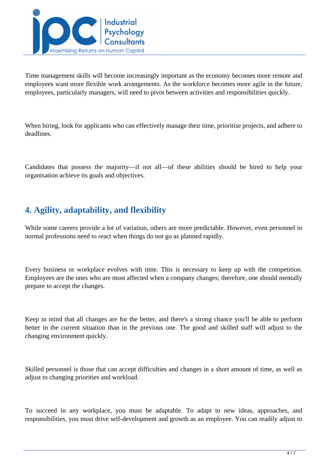

Time management skills will become increasingly important as the economy becomes more remote and employees want more flexible work arrangements. As the workforce becomes more agile in the future, employees, particularly managers, will need to pivot between activities and responsibilities quickly.

When hiring, look for applicants who can effectively manage their time, prioritise projects, and adhere to deadlines.

Candidates that possess the majority—if not all—of these abilities should be hired to help your organisation achieve its goals and objectives.

# **4. Agility, adaptability, and flexibility**

While some careers provide a lot of variation, others are more predictable. However, even personnel in normal professions need to react when things do not go as planned rapidly.

Every business or workplace evolves with time. This is necessary to keep up with the competition. Employees are the ones who are most affected when a company changes; therefore, one should mentally prepare to accept the changes.

Keep in mind that all changes are for the better, and there's a strong chance you'll be able to perform better in the current situation than in the previous one. The good and skilled staff will adjust to the changing environment quickly.

Skilled personnel is those that can accept difficulties and changes in a short amount of time, as well as adjust to changing priorities and workload.

To succeed in any workplace, you must be adaptable. To adapt to new ideas, approaches, and responsibilities, you must drive self-development and growth as an employee. You can readily adjust to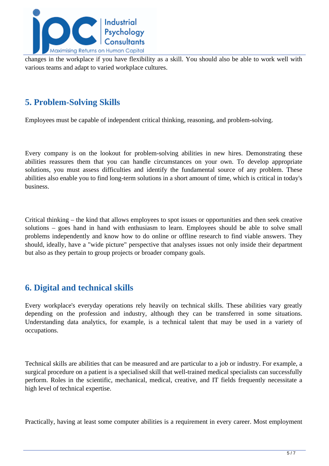

changes in the workplace if you have flexibility as a skill. You should also be able to work well with various teams and adapt to varied workplace cultures.

### **5. Problem-Solving Skills**

Employees must be capable of independent critical thinking, reasoning, and problem-solving.

Every company is on the lookout for problem-solving abilities in new hires. Demonstrating these abilities reassures them that you can handle circumstances on your own. To develop appropriate solutions, you must assess difficulties and identify the fundamental source of any problem. These abilities also enable you to find long-term solutions in a short amount of time, which is critical in today's business.

Critical thinking – the kind that allows employees to spot issues or opportunities and then seek creative solutions – goes hand in hand with enthusiasm to learn. Employees should be able to solve small problems independently and know how to do online or offline research to find viable answers. They should, ideally, have a "wide picture" perspective that analyses issues not only inside their department but also as they pertain to group projects or broader company goals.

# **6. Digital and technical skills**

Every workplace's everyday operations rely heavily on technical skills. These abilities vary greatly depending on the profession and industry, although they can be transferred in some situations. Understanding data analytics, for example, is a technical talent that may be used in a variety of occupations.

Technical skills are abilities that can be measured and are particular to a job or industry. For example, a surgical procedure on a patient is a specialised skill that well-trained medical specialists can successfully perform. Roles in the scientific, mechanical, medical, creative, and IT fields frequently necessitate a high level of technical expertise.

Practically, having at least some computer abilities is a requirement in every career. Most employment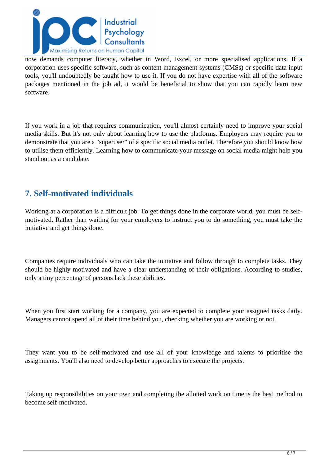

now demands computer literacy, whether in Word, Excel, or more specialised applications. If a corporation uses specific software, such as content management systems (CMSs) or specific data input tools, you'll undoubtedly be taught how to use it. If you do not have expertise with all of the software packages mentioned in the job ad, it would be beneficial to show that you can rapidly learn new software.

If you work in a job that requires communication, you'll almost certainly need to improve your social media skills. But it's not only about learning how to use the platforms. Employers may require you to demonstrate that you are a "superuser" of a specific social media outlet. Therefore you should know how to utilise them efficiently. Learning how to communicate your message on social media might help you stand out as a candidate.

# **7. Self-motivated individuals**

Working at a corporation is a difficult job. To get things done in the corporate world, you must be selfmotivated. Rather than waiting for your employers to instruct you to do something, you must take the initiative and get things done.

Companies require individuals who can take the initiative and follow through to complete tasks. They should be highly motivated and have a clear understanding of their obligations. According to studies, only a tiny percentage of persons lack these abilities.

When you first start working for a company, you are expected to complete your assigned tasks daily. Managers cannot spend all of their time behind you, checking whether you are working or not.

They want you to be self-motivated and use all of your knowledge and talents to prioritise the assignments. You'll also need to develop better approaches to execute the projects.

Taking up responsibilities on your own and completing the allotted work on time is the best method to become self-motivated.